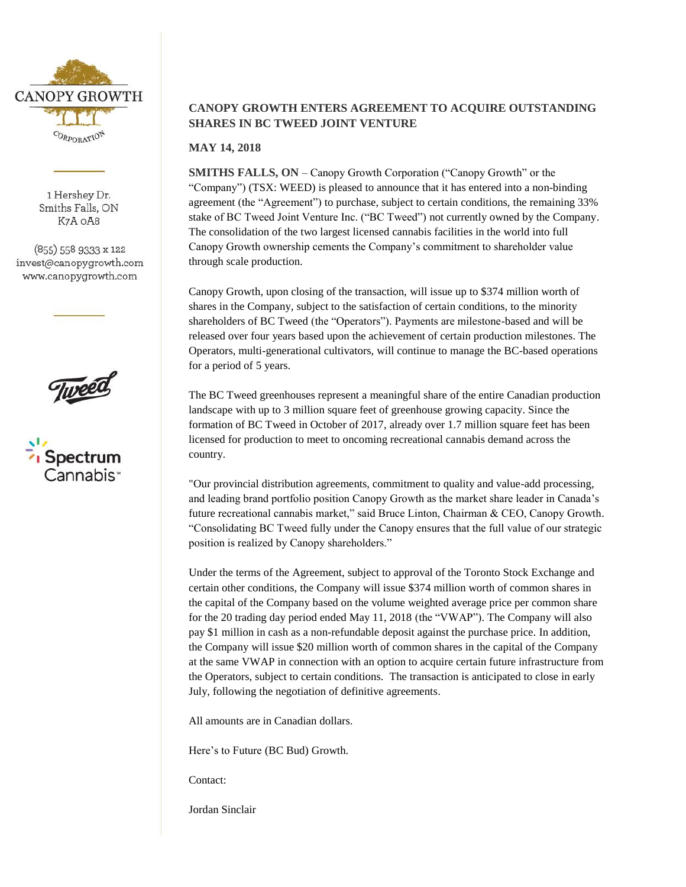

1 Hershey Dr. Smiths Falls, ON K7A OA8

(855) 558 9333 x 122 invest@canopygrowth.com www.canopygrowth.com





## **CANOPY GROWTH ENTERS AGREEMENT TO ACQUIRE OUTSTANDING SHARES IN BC TWEED JOINT VENTURE**

**MAY 14, 2018** 

**SMITHS FALLS, ON – Canopy Growth Corporation ("Canopy Growth" or the** "Company") (TSX: WEED) is pleased to announce that it has entered into a non-binding agreement (the "Agreement") to purchase, subject to certain conditions, the remaining 33% stake of BC Tweed Joint Venture Inc. ("BC Tweed") not currently owned by the Company. The consolidation of the two largest licensed cannabis facilities in the world into full Canopy Growth ownership cements the Company's commitment to shareholder value through scale production.

Canopy Growth, upon closing of the transaction, will issue up to \$374 million worth of shares in the Company, subject to the satisfaction of certain conditions, to the minority shareholders of BC Tweed (the "Operators"). Payments are milestone-based and will be released over four years based upon the achievement of certain production milestones. The Operators, multi-generational cultivators, will continue to manage the BC-based operations for a period of 5 years.

The BC Tweed greenhouses represent a meaningful share of the entire Canadian production landscape with up to 3 million square feet of greenhouse growing capacity. Since the formation of BC Tweed in October of 2017, already over 1.7 million square feet has been licensed for production to meet to oncoming recreational cannabis demand across the country.

"Our provincial distribution agreements, commitment to quality and value-add processing, and leading brand portfolio position Canopy Growth as the market share leader in Canada's future recreational cannabis market," said Bruce Linton, Chairman & CEO, Canopy Growth. "Consolidating BC Tweed fully under the Canopy ensures that the full value of our strategic position is realized by Canopy shareholders."

Under the terms of the Agreement, subject to approval of the Toronto Stock Exchange and certain other conditions, the Company will issue \$374 million worth of common shares in the capital of the Company based on the volume weighted average price per common share for the 20 trading day period ended May 11, 2018 (the "VWAP"). The Company will also pay \$1 million in cash as a non-refundable deposit against the purchase price. In addition, the Company will issue \$20 million worth of common shares in the capital of the Company at the same VWAP in connection with an option to acquire certain future infrastructure from the Operators, subject to certain conditions. The transaction is anticipated to close in early July, following the negotiation of definitive agreements.

All amounts are in Canadian dollars.

Here's to Future (BC Bud) Growth.

Contact:

Jordan Sinclair